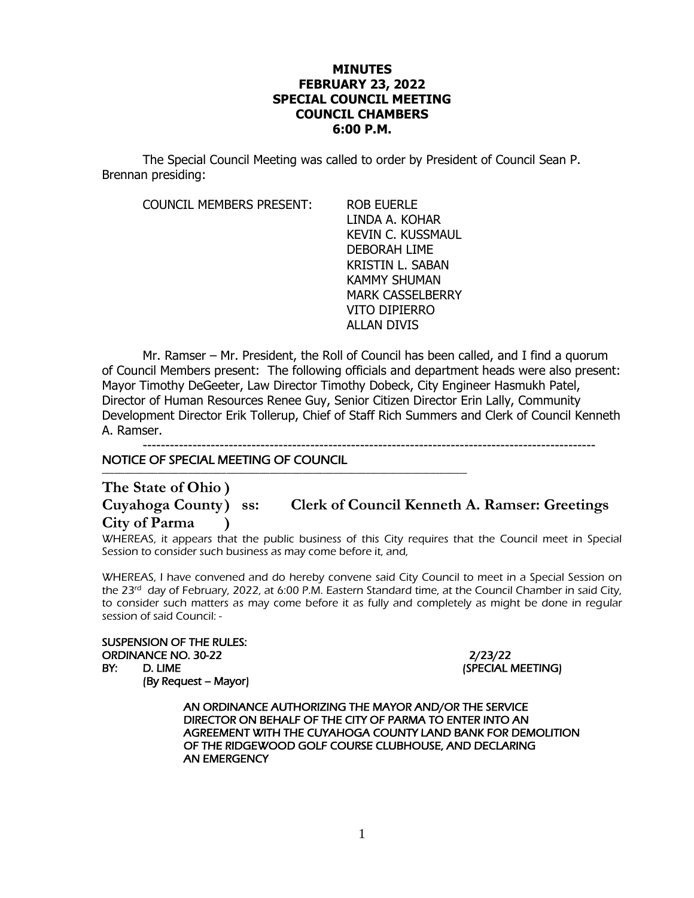## **MINUTES FEBRUARY 23, 2022 SPECIAL COUNCIL MEETING COUNCIL CHAMBERS 6:00 P.M.**

The Special Council Meeting was called to order by President of Council Sean P. Brennan presiding:

COUNCIL MEMBERS PRESENT: ROB EUERLE

LINDA A. KOHAR KEVIN C. KUSSMAUL DEBORAH LIME KRISTIN L. SABAN KAMMY SHUMAN MARK CASSELBERRY VITO DIPIERRO ALLAN DIVIS

Mr. Ramser – Mr. President, the Roll of Council has been called, and I find a quorum of Council Members present: The following officials and department heads were also present: Mayor Timothy DeGeeter, Law Director Timothy Dobeck, City Engineer Hasmukh Patel, Director of Human Resources Renee Guy, Senior Citizen Director Erin Lally, Community Development Director Erik Tollerup, Chief of Staff Rich Summers and Clerk of Council Kenneth A. Ramser.

----------------------------------------------------------------------------------------------------

NOTICE OF SPECIAL MEETING OF COUNCIL

------------------------------------------------------------------------------------------------------------------------------------------------

**The State of Ohio )**

**Cuyahoga County) ss: Clerk of Council Kenneth A. Ramser: Greetings City of Parma )**

WHEREAS, it appears that the public business of this City requires that the Council meet in Special Session to consider such business as may come before it, and,

WHEREAS, I have convened and do hereby convene said City Council to meet in a Special Session on the 23<sup>rd</sup> day of February, 2022, at 6:00 P.M. Eastern Standard time, at the Council Chamber in said City, to consider such matters as may come before it as fully and completely as might be done in regular session of said Council: -

SUSPENSION OF THE RULES: ORDINANCE NO. 30-22 2/23/22 BY: D. LIME (SPECIAL MEETING)

(By Request – Mayor)

 AN ORDINANCE AUTHORIZING THE MAYOR AND/OR THE SERVICE DIRECTOR ON BEHALF OF THE CITY OF PARMA TO ENTER INTO AN AGREEMENT WITH THE CUYAHOGA COUNTY LAND BANK FOR DEMOLITION OF THE RIDGEWOOD GOLF COURSE CLUBHOUSE, AND DECLARING AN EMERGENCY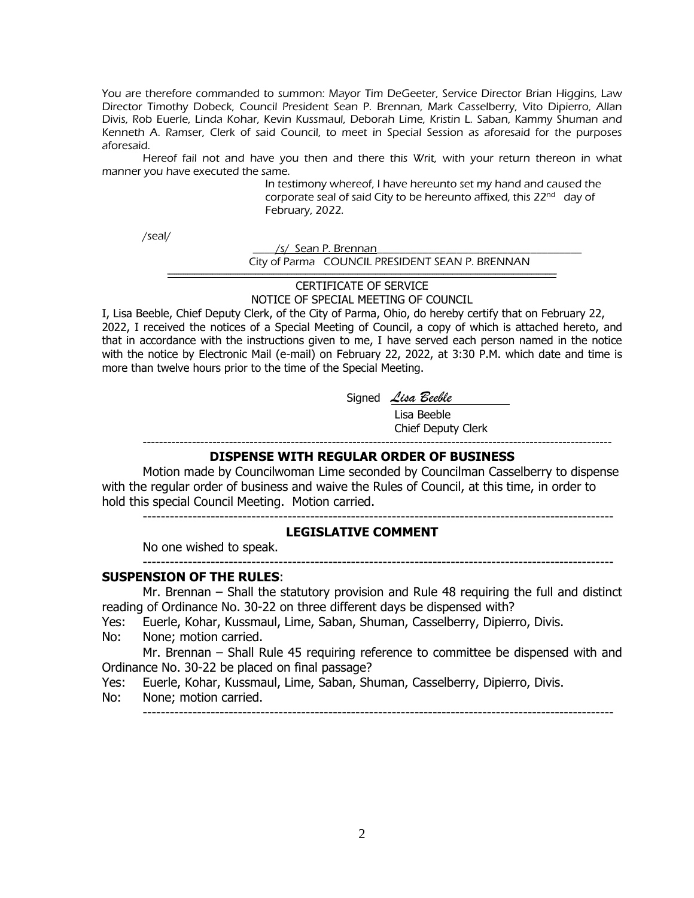You are therefore commanded to summon: Mayor Tim DeGeeter, Service Director Brian Higgins, Law Director Timothy Dobeck, Council President Sean P. Brennan, Mark Casselberry, Vito Dipierro, Allan Divis, Rob Euerle, Linda Kohar, Kevin Kussmaul, Deborah Lime, Kristin L. Saban, Kammy Shuman and Kenneth A. Ramser, Clerk of said Council, to meet in Special Session as aforesaid for the purposes aforesaid.

Hereof fail not and have you then and there this Writ, with your return thereon in what manner you have executed the same.

In testimony whereof, I have hereunto set my hand and caused the corporate seal of said City to be hereunto affixed, this 22<sup>nd</sup> day of February, 2022.

/seal/

/s/ Sean P. Brennan City of Parma COUNCIL PRESIDENT SEAN P. BRENNAN ----------------------------------------------------------------------------------------------------------------------------------------------------------------------------

> CERTIFICATE OF SERVICE NOTICE OF SPECIAL MEETING OF COUNCIL

I, Lisa Beeble, Chief Deputy Clerk, of the City of Parma, Ohio, do hereby certify that on February 22, 2022, I received the notices of a Special Meeting of Council, a copy of which is attached hereto, and that in accordance with the instructions given to me, I have served each person named in the notice with the notice by Electronic Mail (e-mail) on February 22, 2022, at 3:30 P.M. which date and time is more than twelve hours prior to the time of the Special Meeting.

Signed *Lisa Beeble*

 Lisa Beeble Chief Deputy Clerk

--------------------------------------------------------------------------------------------------------

------------------------------------------------------------------------------------------------------------------

# **DISPENSE WITH REGULAR ORDER OF BUSINESS**

Motion made by Councilwoman Lime seconded by Councilman Casselberry to dispense with the regular order of business and waive the Rules of Council, at this time, in order to hold this special Council Meeting. Motion carried.

--------------------------------------------------------------------------------------------------------

## **LEGISLATIVE COMMENT**

No one wished to speak.

#### **SUSPENSION OF THE RULES**:

Mr. Brennan – Shall the statutory provision and Rule 48 requiring the full and distinct reading of Ordinance No. 30-22 on three different days be dispensed with?

- Yes: Euerle, Kohar, Kussmaul, Lime, Saban, Shuman, Casselberry, Dipierro, Divis.
- No: None; motion carried.

Mr. Brennan – Shall Rule 45 requiring reference to committee be dispensed with and Ordinance No. 30-22 be placed on final passage?

- Yes: Euerle, Kohar, Kussmaul, Lime, Saban, Shuman, Casselberry, Dipierro, Divis.
- No: None; motion carried.

--------------------------------------------------------------------------------------------------------